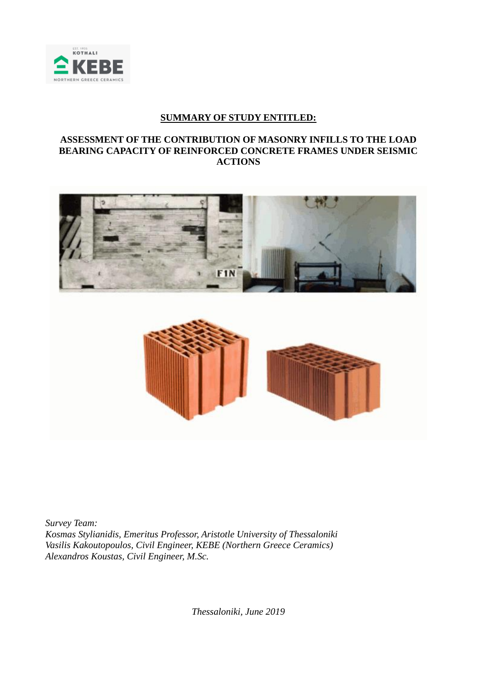

## **SUMMARY OF STUDY ENTITLED:**

## **ASSESSMENT OF THE CONTRIBUTION OF MASONRY INFILLS TO THE LOAD BEARING CAPACITY OF REINFORCED CONCRETE FRAMES UNDER SEISMIC ACTIONS**



*Survey Team: Kosmas Stylianidis, Emeritus Professor, Aristotle University of Thessaloniki Vasilis Kakoutopoulos, Civil Engineer, KEBE (Northern Greece Ceramics) Alexandros Koustas, Civil Engineer, M.Sc.*

*Thessaloniki, June 2019*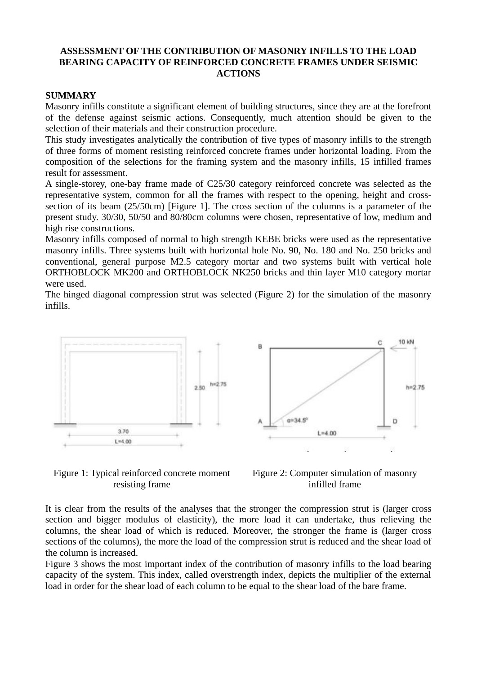## **ASSESSMENT OF THE CONTRIBUTION OF MASONRY INFILLS TO THE LOAD BEARING CAPACITY OF REINFORCED CONCRETE FRAMES UNDER SEISMIC ACTIONS**

## **SUMMARY**

Masonry infills constitute a significant element of building structures, since they are at the forefront of the defense against seismic actions. Consequently, much attention should be given to the selection of their materials and their construction procedure.

This study investigates analytically the contribution of five types of masonry infills to the strength of three forms of moment resisting reinforced concrete frames under horizontal loading. From the composition of the selections for the framing system and the masonry infills, 15 infilled frames result for assessment.

A single-storey, one-bay frame made of C25/30 category reinforced concrete was selected as the representative system, common for all the frames with respect to the opening, height and crosssection of its beam (25/50cm) [Figure 1]. The cross section of the columns is a parameter of the present study. 30/30, 50/50 and 80/80cm columns were chosen, representative of low, medium and high rise constructions.

Masonry infills composed of normal to high strength KEBE bricks were used as the representative masonry infills. Three systems built with horizontal hole No. 90, No. 180 and No. 250 bricks and conventional, general purpose M2.5 category mortar and two systems built with vertical hole ORTHOBLOCK MK200 and ORTHOBLOCK NK250 bricks and thin layer M10 category mortar were used.

The hinged diagonal compression strut was selected (Figure 2) for the simulation of the masonry infills.





Figure 1: Typical reinforced concrete moment resisting frame



It is clear from the results of the analyses that the stronger the compression strut is (larger cross section and bigger modulus of elasticity), the more load it can undertake, thus relieving the columns, the shear load of which is reduced. Moreover, the stronger the frame is (larger cross sections of the columns), the more the load of the compression strut is reduced and the shear load of the column is increased.

Figure 3 shows the most important index of the contribution of masonry infills to the load bearing capacity of the system. This index, called overstrength index, depicts the multiplier of the external load in order for the shear load of each column to be equal to the shear load of the bare frame.